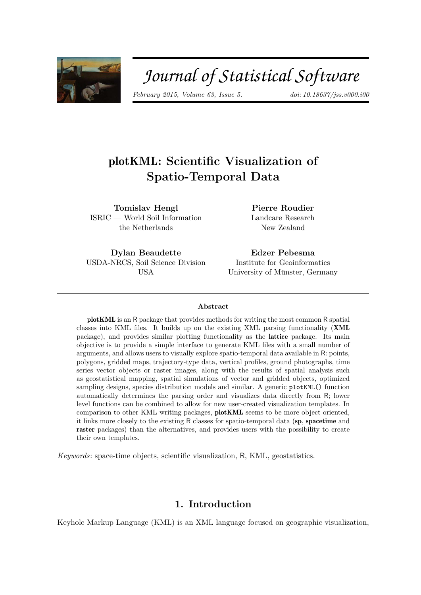

# Journal of Statistical Software

*February 2015, Volume 63, Issue 5. [doi: 10.18637/jss.v000.i00](http://dx.doi.org/10.18637/jss.v000.i00)*

# plotKML: Scientific Visualization of Spatio-Temporal Data

Tomislav Hengl ISRIC — World Soil Information the Netherlands

Pierre Roudier Landcare Research New Zealand

Dylan Beaudette USDA-NRCS, Soil Science Division USA

Edzer Pebesma Institute for Geoinformatics University of Münster, Germany

#### Abstract

plotKML is an R package that provides methods for writing the most common R spatial classes into KML files. It builds up on the existing XML parsing functionality (XML package), and provides similar plotting functionality as the lattice package. Its main objective is to provide a simple interface to generate KML files with a small number of arguments, and allows users to visually explore spatio-temporal data available in R: points, polygons, gridded maps, trajectory-type data, vertical profiles, ground photographs, time series vector objects or raster images, along with the results of spatial analysis such as geostatistical mapping, spatial simulations of vector and gridded objects, optimized sampling designs, species distribution models and similar. A generic plotKML() function automatically determines the parsing order and visualizes data directly from R; lower level functions can be combined to allow for new user-created visualization templates. In comparison to other KML writing packages, plotKML seems to be more object oriented, it links more closely to the existing R classes for spatio-temporal data (sp, spacetime and raster packages) than the alternatives, and provides users with the possibility to create their own templates.

*Keywords*: space-time objects, scientific visualization, R, KML, geostatistics.

## 1. Introduction

Keyhole Markup Language (KML) is an XML language focused on geographic visualization,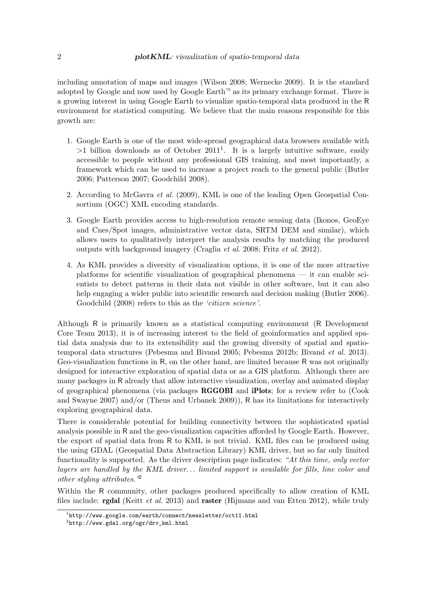including annotation of maps and images [\(Wilson 2008; Wernecke 2009\)](#page-23-0). It is the standard adopted by Google and now used by Google Earth™ as its primary exchange format. There is a growing interest in using Google Earth to visualize spatio-temporal data produced in the R environment for statistical computing. We believe that the main reasons responsible for this growth are:

- 1. Google Earth is one of the most wide-spread geographical data browsers available with  $>1$  billion downloads as of October 2011<sup>1</sup>. It is a largely intuitive software, easily accessible to people without any professional GIS training, and most importantly, a framework which can be used to increase a project reach to the general public [\(Butler](#page-21-0) [2006;](#page-21-0) [Patterson 2007; Goodchild 2008\)](#page-22-0).
- 2. According to [McGavra](#page-22-0) *et al.* [\(2009\)](#page-22-0), KML is one of the leading Open Geospatial Consortium (OGC) XML encoding standards.
- 3. Google Earth provides access to high-resolution remote sensing data (Ikonos, GeoEye and Cnes/Spot images, administrative vector data, SRTM DEM and similar), which allows users to qualitatively interpret the analysis results by matching the produced outputs with background imagery [\(Craglia](#page-21-0) *et al.* [2008;](#page-21-0) Fritz *[et al.](#page-22-0)* [2012\)](#page-22-0).
- 4. As KML provides a diversity of visualization options, it is one of the more attractive platforms for scientific visualization of geographical phenomena — it can enable scientists to detect patterns in their data not visible in other software, but it can also help engaging a wider public into scientific research and decision making [\(Butler 2006\)](#page-21-0). [Goodchild \(2008\)](#page-22-0) refers to this as the *'citizen science'*.

Although R is primarily known as a statistical computing environment (R [Development](#page-23-0) [Core Team 2013\)](#page-23-0), it is of increasing interest to the field of geoinformatics and applied spatial data analysis due to its extensibility and the growing diversity of spatial and spatiotemporal data structures [\(Pebesma and Bivand 2005; Pebesma 2012b;](#page-23-0) [Bivand](#page-21-0) *et al.* [2013\)](#page-21-0). Geo-visualization functions in R, on the other hand, are limited because R was not originally designed for interactive exploration of spatial data or as a GIS platform. Although there are many packages in R already that allow interactive visualization, overlay and animated display of geographical phenomena (via packages [RGGOBI](http://www.ggobi.org/rggobi/) and iPlots; for a review refer to [\(Cook](#page-21-0) [and Swayne 2007\)](#page-21-0) and/or [\(Theus and Urbanek 2009\)](#page-23-0)), R has its limitations for interactively exploring geographical data.

There is considerable potential for building connectivity between the sophisticated spatial analysis possible in R and the geo-visualization capacities afforded by Google Earth. However, the export of spatial data from R to KML is not trivial. KML files can be produced using the using GDAL (Geospatial Data Abstraction Library) KML driver, but so far only limited functionality is supported. As the driver description page indicates: *"At this time, only vector layers are handled by the KML driver... limited support is available for fills, line color and other styling attributes."*<sup>2</sup>

Within the R community, other packages produced specifically to allow creation of KML files include: rgdal [\(Keitt](#page-22-0) *et al.* [2013\)](#page-22-0) and raster [\(Hijmans and van Etten 2012\)](#page-22-0), while truly

<sup>1</sup> <http://www.google.com/earth/connect/newsletter/oct11.html>

<sup>2</sup> [http://www.gdal.org/ogr/drv\\_kml.html](http://www.gdal.org/ogr/drv_kml.html)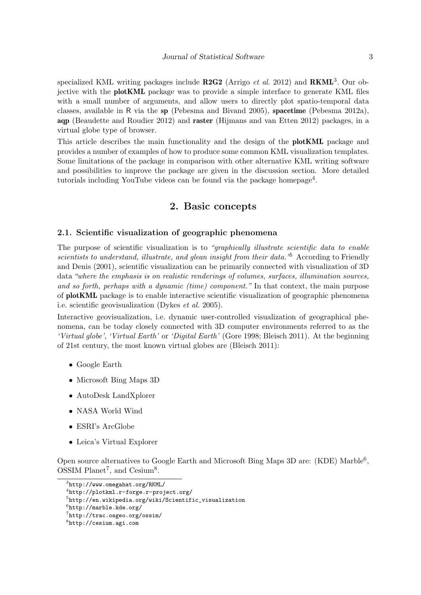specialized KML writing packages include  $R2G2$  [\(Arrigo](#page-21-0) *et al.* [2012\)](#page-21-0) and  $RKML<sup>3</sup>$ . Our objective with the plotKML package was to provide a simple interface to generate KML files with a small number of arguments, and allow users to directly plot spatio-temporal data classes, available in R via the sp [\(Pebesma and Bivand 2005\)](#page-23-0), spacetime [\(Pebesma 2012a\)](#page-23-0), aqp [\(Beaudette and Roudier 2012\)](#page-21-0) and raster [\(Hijmans and van Etten 2012\)](#page-22-0) packages, in a virtual globe type of browser.

This article describes the main functionality and the design of the plotKML package and provides a number of examples of how to produce some common KML visualization templates. Some limitations of the package in comparison with other alternative KML writing software and possibilities to improve the package are given in the discussion section. More detailed tutorials including YouTube videos can be found via the package homepage<sup>4</sup>.

# 2. Basic concepts

#### 2.1. Scientific visualization of geographic phenomena

The purpose of scientific visualization is to *"graphically illustrate scientific data to enable scientists to understand, illustrate, and glean insight from their data."*<sup>5</sup> According to [Friendly](#page-22-0) [and Denis \(2001\)](#page-22-0), scientific visualization can be primarily connected with visualization of 3D data *"where the emphasis is on realistic renderings of volumes, surfaces, illumination sources, and so forth, perhaps with a dynamic (time) component."* In that context, the main purpose of plotKML package is to enable interactive scientific visualization of geographic phenomena i.e. scientific geovisualization [\(Dykes](#page-21-0) *et al.* [2005\)](#page-21-0).

Interactive geovisualization, i.e. dynamic user-controlled visualization of geographical phenomena, can be today closely connected with 3D computer environments referred to as the *'Virtual globe'*, *'Virtual Earth'* or *'Digital Earth'* [\(Gore 1998;](#page-22-0) [Bleisch 2011\)](#page-21-0). At the beginning of 21st century, the most known virtual globes are [\(Bleisch 2011\)](#page-21-0):

- Google Earth
- Microsoft Bing Maps 3D
- AutoDesk LandXplorer
- NASA World Wind
- ESRI's ArcGlobe
- Leica's Virtual Explorer

Open source alternatives to Google Earth and Microsoft Bing Maps 3D are: (KDE) Marble<sup>6</sup>, OSSIM Planet<sup>7</sup>, and Cesium<sup>8</sup>.

 ${}^{3}$ <http://www.omegahat.org/RKML/>

<sup>4</sup> <http://plotkml.r-forge.r-project.org/>

<sup>5</sup> [http://en.wikipedia.org/wiki/Scientific\\_visualization](http://en.wikipedia.org/wiki/Scientific_visualization)

<sup>6</sup> <http://marble.kde.org/>

<sup>7</sup> <http://trac.osgeo.org/ossim/>

<sup>8</sup> <http://cesium.agi.com>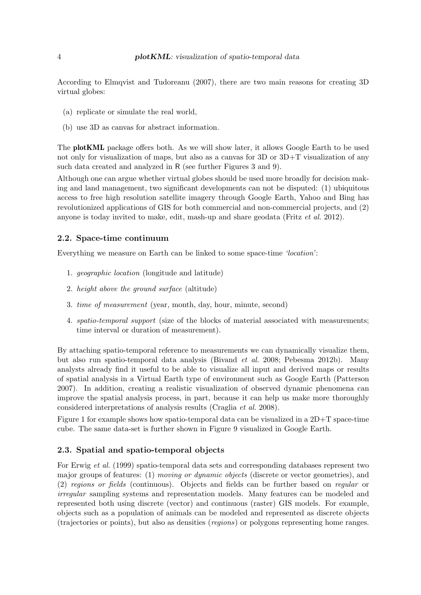<span id="page-3-0"></span>According to [Elmqvist and Tudoreanu \(2007\)](#page-22-0), there are two main reasons for creating 3D virtual globes:

- (a) replicate or simulate the real world,
- (b) use 3D as canvas for abstract information.

The **plotKML** package offers both. As we will show later, it allows Google Earth to be used not only for visualization of maps, but also as a canvas for 3D or  $3D+T$  visualization of any such data created and analyzed in R (see further Figures [3](#page-10-0) and [9\)](#page-17-0).

Although one can argue whether virtual globes should be used more broadly for decision making and land management, two significant developments can not be disputed: (1) ubiquitous access to free high resolution satellite imagery through Google Earth, Yahoo and Bing has revolutionized applications of GIS for both commercial and non-commercial projects, and (2) anyone is today invited to make, edit, mash-up and share geodata (Fritz *[et al.](#page-22-0)* [2012\)](#page-22-0).

#### 2.2. Space-time continuum

Everything we measure on Earth can be linked to some space-time *'location'*:

- 1. *geographic location* (longitude and latitude)
- 2. *height above the ground surface* (altitude)
- 3. *time of measurement* (year, month, day, hour, minute, second)
- 4. *spatio-temporal support* (size of the blocks of material associated with measurements; time interval or duration of measurement).

By attaching spatio-temporal reference to measurements we can dynamically visualize them, but also run spatio-temporal data analysis [\(Bivand](#page-21-0) *et al.* [2008;](#page-21-0) [Pebesma 2012b\)](#page-23-0). Many analysts already find it useful to be able to visualize all input and derived maps or results of spatial analysis in a Virtual Earth type of environment such as Google Earth [\(Patterson](#page-22-0) [2007\)](#page-22-0). In addition, creating a realistic visualization of observed dynamic phenomena can improve the spatial analysis process, in part, because it can help us make more thoroughly considered interpretations of analysis results [\(Craglia](#page-21-0) *et al.* [2008\)](#page-21-0).

Figure [1](#page-4-0) for example shows how spatio-temporal data can be visualized in a  $2D+T$  space-time cube. The same data-set is further shown in Figure [9](#page-17-0) visualized in Google Earth.

#### 2.3. Spatial and spatio-temporal objects

For [Erwig](#page-22-0) *et al.* [\(1999\)](#page-22-0) spatio-temporal data sets and corresponding databases represent two major groups of features: (1) *moving or dynamic objects* (discrete or vector geometries), and (2) *regions or fields* (continuous). Objects and fields can be further based on *regular* or *irregular* sampling systems and representation models. Many features can be modeled and represented both using discrete (vector) and continuous (raster) GIS models. For example, objects such as a population of animals can be modeled and represented as discrete objects (trajectories or points), but also as densities (*regions*) or polygons representing home ranges.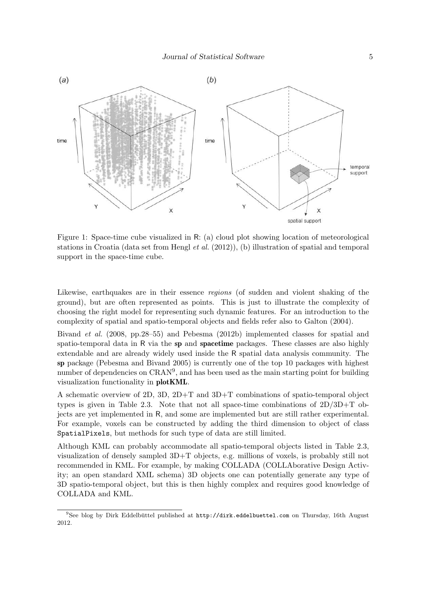<span id="page-4-0"></span>

Figure 1: Space-time cube visualized in R: (a) cloud plot showing location of meteorological stations in Croatia (data set from [Hengl](#page-22-0) *et al.* [\(2012\)](#page-22-0)), (b) illustration of spatial and temporal support in the space-time cube.

Likewise, earthquakes are in their essence *regions* (of sudden and violent shaking of the ground), but are often represented as points. This is just to illustrate the complexity of choosing the right model for representing such dynamic features. For an introduction to the complexity of spatial and spatio-temporal objects and fields refer also to [Galton \(2004\)](#page-22-0).

[Bivand](#page-21-0) *et al.* [\(2008,](#page-21-0) pp.28–55) and [Pebesma \(2012b\)](#page-23-0) implemented classes for spatial and spatio-temporal data in R via the sp and spacetime packages. These classes are also highly extendable and are already widely used inside the R spatial data analysis community. The sp package [\(Pebesma and Bivand 2005\)](#page-23-0) is currently one of the top 10 packages with highest number of dependencies on CRAN<sup>9</sup>, and has been used as the main starting point for building visualization functionality in plotKML.

A schematic overview of 2D, 3D, 2D+T and 3D+T combinations of spatio-temporal object types is given in Table [2.3.](#page-3-0) Note that not all space-time combinations of 2D/3D+T objects are yet implemented in R, and some are implemented but are still rather experimental. For example, voxels can be constructed by adding the third dimension to object of class SpatialPixels, but methods for such type of data are still limited.

Although KML can probably accommodate all spatio-temporal objects listed in Table [2.3,](#page-3-0) visualization of densely sampled 3D+T objects, e.g. millions of voxels, is probably still not recommended in KML. For example, by making COLLADA (COLLAborative Design Activity; an open standard XML schema) 3D objects one can potentially generate any type of 3D spatio-temporal object, but this is then highly complex and requires good knowledge of COLLADA and KML.

 $9$ See blog by Dirk Eddelbüttel published at  $http://dirk.eduelbuettel.com$  on Thursday, 16th August 2012.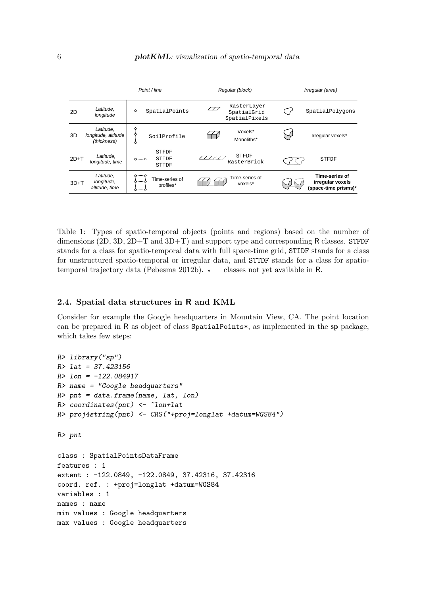

Table 1: Types of spatio-temporal objects (points and regions) based on the number of dimensions  $(2D, 3D, 2D+T, and 3D+T)$  and support type and corresponding R classes. STFDF stands for a class for spatio-temporal data with full space-time grid, STIDF stands for a class for unstructured spatio-temporal or irregular data, and STTDF stands for a class for spatio-temporal trajectory data [\(Pebesma 2012b\)](#page-23-0).  $\star$  — classes not yet available in R.

#### 2.4. Spatial data structures in R and KML

Consider for example the Google headquarters in Mountain View, CA. The point location can be prepared in R as object of class SpatialPoints\*, as implemented in the sp package, which takes few steps:

```
R> library("sp")
R> lat = 37.423156
R> lon = -122.084917
R> name = "Google headquarters"
R> pnt = data.frame(name, lat, lon)
R> coordinates(pnt) <- ~lon+lat
R> proj4string(pnt) <- CRS("+proj=longlat +datum=WGS84")
R> pnt
class : SpatialPointsDataFrame
features : 1
extent : -122.0849, -122.0849, 37.42316, 37.42316
coord. ref. : +proj=longlat +datum=WGS84
variables : 1
names : name
min values : Google headquarters
max values : Google headquarters
```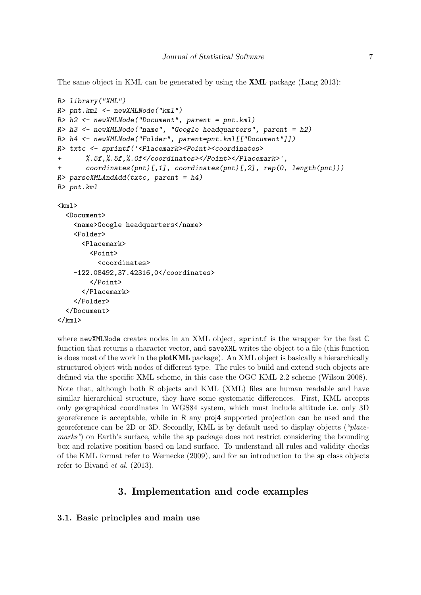The same object in KML can be generated by using the XML package [\(Lang 2013\)](#page-22-0):

```
R> library("XML")
R> pnt.kml <- newXMLNode("kml")
R> h2 <- newXMLNode("Document", parent = pnt.kml)
R> h3 <- newXMLNode("name", "Google headquarters", parent = h2)
R> h4 <- newXMLNode("Folder", parent=pnt.kml[["Document"]])
R> txtc <- sprintf('<Placemark><Point><coordinates>
+ %.5f,%.5f,%.0f</coordinates></Point></Placemark>',
+ coordinates(pnt)[,1], coordinates(pnt)[,2], rep(0, length(pnt)))
R> parseXMLAndAdd(txtc, parent = h4)
R> pnt.kml
\langle km1 \rangle<Document>
    <name>Google headquarters</name>
    <Folder>
      <Placemark>
        <Point>
          <coordinates>
    -122.08492,37.42316,0</coordinates>
        </Point>
      </Placemark>
    </Folder>
  </Document>
\langle/kml\rangle
```
where newXMLNode creates nodes in an XML object, sprintf is the wrapper for the fast C function that returns a character vector, and saveXML writes the object to a file (this function is does most of the work in the **plotKML** package). An XML object is basically a hierarchically structured object with nodes of different type. The rules to build and extend such objects are defined via the specific XML scheme, in this case the OGC KML 2.2 scheme [\(Wilson 2008\)](#page-23-0).

Note that, although both R objects and KML (XML) files are human readable and have similar hierarchical structure, they have some systematic differences. First, KML accepts only geographical coordinates in WGS84 system, which must include altitude i.e. only 3D georeference is acceptable, while in R any proj4 supported projection can be used and the georeference can be 2D or 3D. Secondly, KML is by default used to display objects (*"placemarks*") on Earth's surface, while the sp package does not restrict considering the bounding box and relative position based on land surface. To understand all rules and validity checks of the KML format refer to [Wernecke \(2009\)](#page-23-0), and for an introduction to the sp class objects refer to [Bivand](#page-21-0) *et al.* [\(2013\)](#page-21-0).

# 3. Implementation and code examples

### 3.1. Basic principles and main use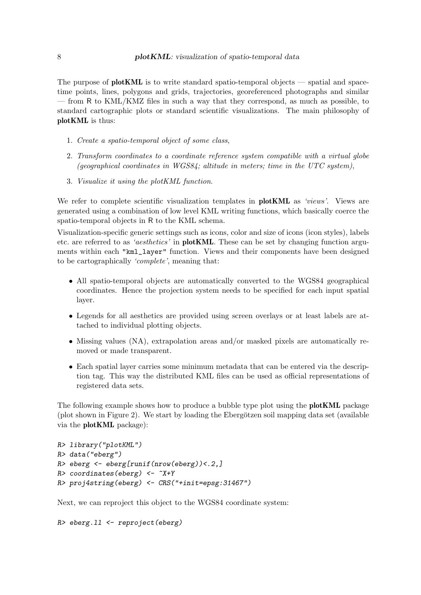The purpose of **plotKML** is to write standard spatio-temporal objects — spatial and spacetime points, lines, polygons and grids, trajectories, georeferenced photographs and similar — from R to KML/KMZ files in such a way that they correspond, as much as possible, to standard cartographic plots or standard scientific visualizations. The main philosophy of plotKML is thus:

- 1. *Create a spatio-temporal object of some class*,
- 2. *Transform coordinates to a coordinate reference system compatible with a virtual globe (geographical coordinates in WGS84; altitude in meters; time in the UTC system)*,
- 3. *Visualize it using the plotKML function*.

We refer to complete scientific visualization templates in plotKML as *'views'*. Views are generated using a combination of low level KML writing functions, which basically coerce the spatio-temporal objects in R to the KML schema.

Visualization-specific generic settings such as icons, color and size of icons (icon styles), labels etc. are referred to as *'aesthetics'* in plotKML. These can be set by changing function arguments within each "kml\_layer" function. Views and their components have been designed to be cartographically *'complete'*, meaning that:

- All spatio-temporal objects are automatically converted to the WGS84 geographical coordinates. Hence the projection system needs to be specified for each input spatial layer.
- Legends for all aesthetics are provided using screen overlays or at least labels are attached to individual plotting objects.
- Missing values (NA), extrapolation areas and/or masked pixels are automatically removed or made transparent.
- Each spatial layer carries some minimum metadata that can be entered via the description tag. This way the distributed KML files can be used as official representations of registered data sets.

The following example shows how to produce a bubble type plot using the **plotKML** package (plot shown in Figure [2\)](#page-9-0). We start by loading the Ebergötzen soil mapping data set (available via the plotKML package):

```
R> library("plotKML")
R> data("eberg")
R> eberg <- eberg[runif(nrow(eberg))<.2,]
R> coordinates(eberg) <- ~X+Y
R> proj4string(eberg) <- CRS("+init=epsg:31467")
```
Next, we can reproject this object to the WGS84 coordinate system:

```
R> eberg.ll <- reproject(eberg)
```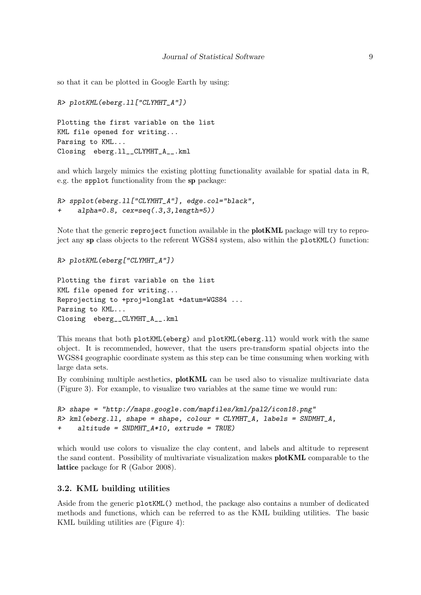so that it can be plotted in Google Earth by using:

```
R> plotKML(eberg.ll["CLYMHT_A"])
```

```
Plotting the first variable on the list
KML file opened for writing...
Parsing to KML...
Closing eberg.ll__CLYMHT_A__.kml
```
and which largely mimics the existing plotting functionality available for spatial data in R, e.g. the spplot functionality from the sp package:

```
R> spplot(eberg.ll["CLYMHT_A"], edge.col="black",
+ alpha=0.8, cex=seq(.3,3,length=5))
```
Note that the generic reproject function available in the plotKML package will try to reproject any sp class objects to the referent WGS84 system, also within the plotKML() function:

```
R> plotKML(eberg["CLYMHT_A"])
```

```
Plotting the first variable on the list
KML file opened for writing...
Reprojecting to +proj=longlat +datum=WGS84 ...
Parsing to KML...
Closing eberg__CLYMHT_A__.kml
```
This means that both plotKML(eberg) and plotKML(eberg.ll) would work with the same object. It is recommended, however, that the users pre-transform spatial objects into the WGS84 geographic coordinate system as this step can be time consuming when working with large data sets.

By combining multiple aesthetics, plotKML can be used also to visualize multivariate data (Figure [3\)](#page-10-0). For example, to visualize two variables at the same time we would run:

```
R> shape = "http://maps.google.com/mapfiles/kml/pal2/icon18.png"
R> kml(eberg.ll, shape = shape, colour = CLYMHT_A, labels = SNDMHT_A,
+ altitude = SNDMHT_A*10, extrude = TRUE)
```
which would use colors to visualize the clay content, and labels and altitude to represent the sand content. Possibility of multivariate visualization makes plotKML comparable to the lattice package for R [\(Gabor 2008\)](#page-22-0).

#### 3.2. KML building utilities

Aside from the generic plotKML() method, the package also contains a number of dedicated methods and functions, which can be referred to as the KML building utilities. The basic KML building utilities are (Figure [4\)](#page-11-0):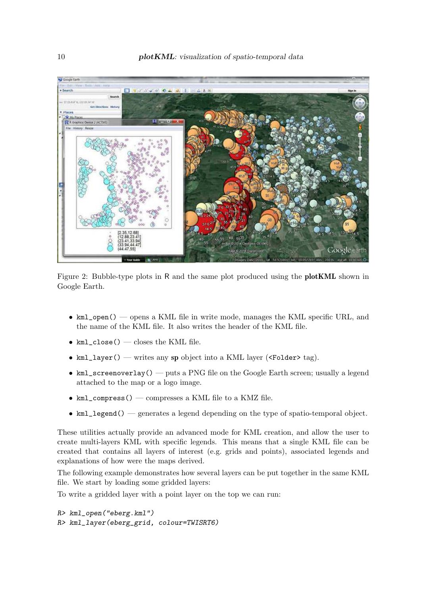<span id="page-9-0"></span>

Figure 2: Bubble-type plots in R and the same plot produced using the plotKML shown in Google Earth.

- kml\_open() opens a KML file in write mode, manages the KML specific URL, and the name of the KML file. It also writes the header of the KML file.
- $kml$ <sub>close</sub>() closes the KML file.
- kml\_layer() writes any sp object into a KML layer (<Folder> tag).
- kml\_screenoverlay() puts a PNG file on the Google Earth screen; usually a legend attached to the map or a logo image.
- $\bullet$  kml\_compress() compresses a KML file to a KMZ file.
- kml\_legend() generates a legend depending on the type of spatio-temporal object.

These utilities actually provide an advanced mode for KML creation, and allow the user to create multi-layers KML with specific legends. This means that a single KML file can be created that contains all layers of interest (e.g. grids and points), associated legends and explanations of how were the maps derived.

The following example demonstrates how several layers can be put together in the same KML file. We start by loading some gridded layers:

To write a gridded layer with a point layer on the top we can run:

```
R> kml_open("eberg.kml")
R> kml_layer(eberg_grid, colour=TWISRT6)
```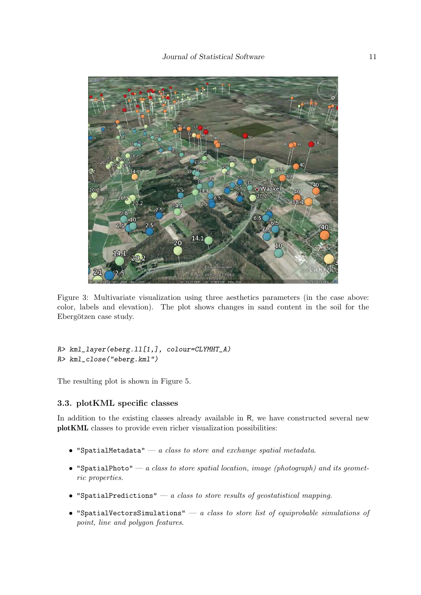<span id="page-10-0"></span>

Figure 3: Multivariate visualization using three aesthetics parameters (in the case above: color, labels and elevation). The plot shows changes in sand content in the soil for the Ebergötzen case study.

```
R> kml_layer(eberg.ll[1,], colour=CLYMHT_A)
R> kml_close("eberg.kml")
```
The resulting plot is shown in Figure [5.](#page-12-0)

#### 3.3. plotKML specific classes

In addition to the existing classes already available in R, we have constructed several new plotKML classes to provide even richer visualization possibilities:

- "SpatialMetadata" *a class to store and exchange spatial metadata*.
- "SpatialPhoto" *a class to store spatial location, image (photograph) and its geometric properties*.
- "SpatialPredictions" *a class to store results of geostatistical mapping*.
- "SpatialVectorsSimulations" *a class to store list of equiprobable simulations of point, line and polygon features*.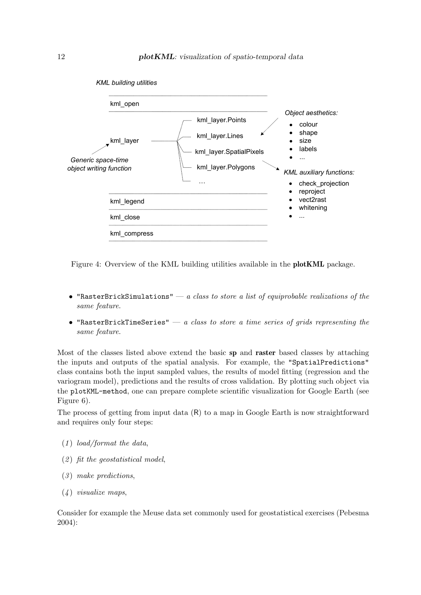<span id="page-11-0"></span>

Figure 4: Overview of the KML building utilities available in the plotKML package.

- "RasterBrickSimulations" *a class to store a list of equiprobable realizations of the same feature*.
- "RasterBrickTimeSeries" *a class to store a time series of grids representing the same feature*.

Most of the classes listed above extend the basic sp and raster based classes by attaching the inputs and outputs of the spatial analysis. For example, the "SpatialPredictions" class contains both the input sampled values, the results of model fitting (regression and the variogram model), predictions and the results of cross validation. By plotting such object via the plotKML-method, one can prepare complete scientific visualization for Google Earth (see Figure [6\)](#page-13-0).

The process of getting from input data (R) to a map in Google Earth is now straightforward and requires only four steps:

- (*1* ) *load/format the data*,
- (*2* ) *fit the geostatistical model*,
- (*3* ) *make predictions*,
- (*4* ) *visualize maps*,

Consider for example the Meuse data set commonly used for geostatistical exercises [\(Pebesma](#page-23-0) [2004\)](#page-23-0):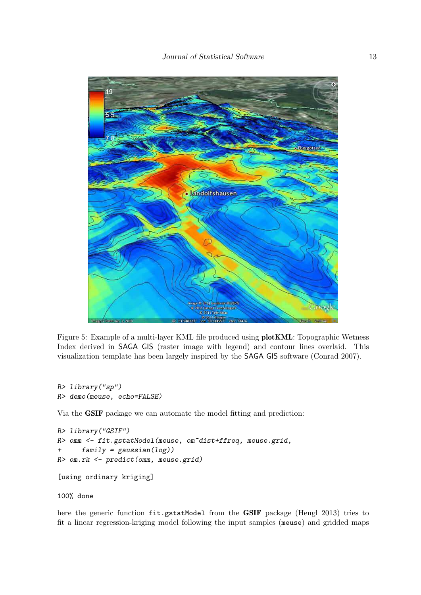<span id="page-12-0"></span>

Figure 5: Example of a multi-layer KML file produced using plotKML: Topographic Wetness Index derived in SAGA GIS (raster image with legend) and contour lines overlaid. This visualization template has been largely inspired by the SAGA GIS software [\(Conrad 2007\)](#page-21-0).

```
R> library("sp")
R> demo(meuse, echo=FALSE)
```
Via the GSIF package we can automate the model fitting and prediction:

```
R> library("GSIF")
R> omm <- fit.gstatModel(meuse, om~dist+ffreq, meuse.grid,
+ family = gaussian(log))
R> om.rk <- predict(omm, meuse.grid)
[using ordinary kriging]
```
#### 100% done

here the generic function fit.gstatModel from the GSIF package [\(Hengl 2013\)](#page-22-0) tries to fit a linear regression-kriging model following the input samples (meuse) and gridded maps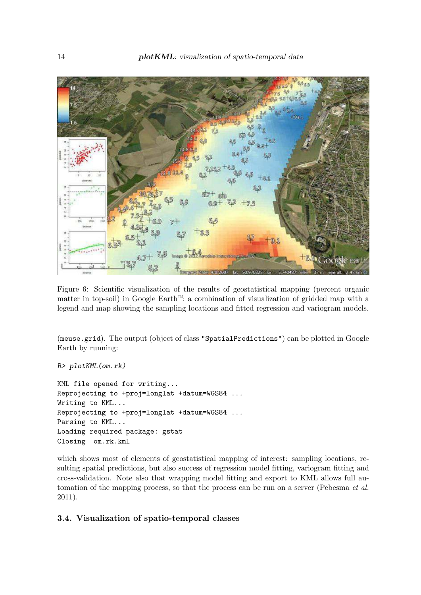<span id="page-13-0"></span>

Figure 6: Scientific visualization of the results of geostatistical mapping (percent organic matter in top-soil) in Google Earth™: a combination of visualization of gridded map with a legend and map showing the sampling locations and fitted regression and variogram models.

(meuse.grid). The output (object of class "SpatialPredictions") can be plotted in Google Earth by running:

```
R> plotKML(om.rk)
```
KML file opened for writing... Reprojecting to +proj=longlat +datum=WGS84 ... Writing to KML... Reprojecting to +proj=longlat +datum=WGS84 ... Parsing to KML... Loading required package: gstat Closing om.rk.kml

which shows most of elements of geostatistical mapping of interest: sampling locations, resulting spatial predictions, but also success of regression model fitting, variogram fitting and cross-validation. Note also that wrapping model fitting and export to KML allows full automation of the mapping process, so that the process can be run on a server [\(Pebesma](#page-23-0) *et al.* [2011\)](#page-23-0).

#### 3.4. Visualization of spatio-temporal classes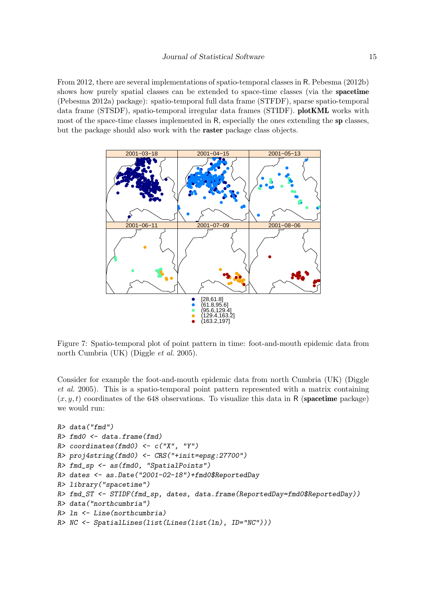<span id="page-14-0"></span>From 2012, there are several implementations of spatio-temporal classes in R. [Pebesma \(2012b\)](#page-23-0) shows how purely spatial classes can be extended to space-time classes (via the spacetime [\(Pebesma 2012a\)](#page-23-0) package): spatio-temporal full data frame (STFDF), sparse spatio-temporal data frame (STSDF), spatio-temporal irregular data frames (STIDF). plotKML works with most of the space-time classes implemented in R, especially the ones extending the sp classes, but the package should also work with the raster package class objects.



Figure 7: Spatio-temporal plot of point pattern in time: foot-and-mouth epidemic data from north Cumbria (UK) [\(Diggle](#page-21-0) *et al.* [2005\)](#page-21-0).

Consider for example the foot-and-mouth epidemic data from north Cumbria (UK) [\(Diggle](#page-21-0) *[et al.](#page-21-0)* [2005\)](#page-21-0). This is a spatio-temporal point pattern represented with a matrix containing  $(x, y, t)$  coordinates of the 648 observations. To visualize this data in R (spacetime package) we would run:

```
R> data("fmd")
R> fmd0 <- data.frame(fmd)
R> coordinates(fmd0) <- c("X", "Y")
R> proj4string(fmd0) <- CRS("+init=epsg:27700")
R> fmd_sp <- as(fmd0, "SpatialPoints")
R> dates <- as.Date("2001-02-18")+fmd0$ReportedDay
R> library("spacetime")
R> fmd_ST <- STIDF(fmd_sp, dates, data.frame(ReportedDay=fmd0$ReportedDay))
R> data("northcumbria")
R> ln <- Line(northcumbria)
R> NC <- SpatialLines(list(Lines(list(ln), ID="NC")))
```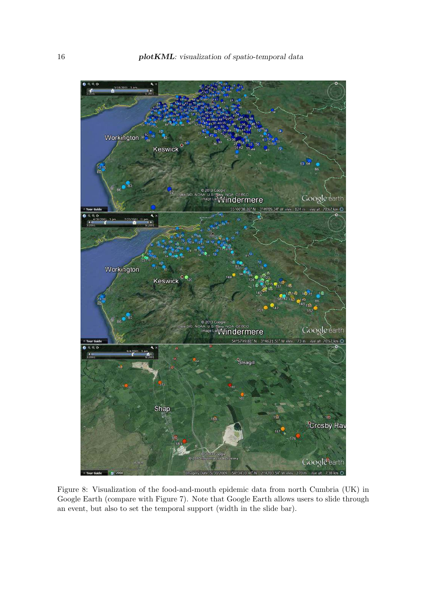<span id="page-15-0"></span>

Figure 8: Visualization of the food-and-mouth epidemic data from north Cumbria (UK) in Google Earth (compare with Figure [7\)](#page-14-0). Note that Google Earth allows users to slide through an event, but also to set the temporal support (width in the slide bar).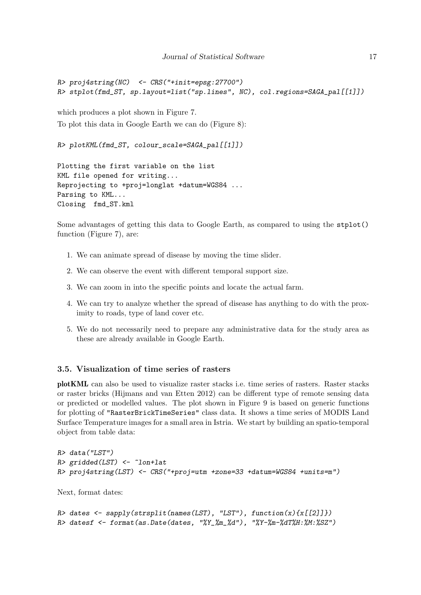```
R> proj4string(NC) <- CRS("+init=epsg:27700")
R> stplot(fmd_ST, sp.layout=list("sp.lines", NC), col.regions=SAGA_pal[[1]])
```
which produces a plot shown in Figure [7.](#page-14-0) To plot this data in Google Earth we can do (Figure [8\)](#page-15-0):

```
R> plotKML(fmd_ST, colour_scale=SAGA_pal[[1]])
```
Plotting the first variable on the list KML file opened for writing... Reprojecting to +proj=longlat +datum=WGS84 ... Parsing to KML... Closing fmd\_ST.kml

Some advantages of getting this data to Google Earth, as compared to using the stplot() function (Figure [7\)](#page-14-0), are:

- 1. We can animate spread of disease by moving the time slider.
- 2. We can observe the event with different temporal support size.
- 3. We can zoom in into the specific points and locate the actual farm.
- 4. We can try to analyze whether the spread of disease has anything to do with the proximity to roads, type of land cover etc.
- 5. We do not necessarily need to prepare any administrative data for the study area as these are already available in Google Earth.

#### 3.5. Visualization of time series of rasters

plotKML can also be used to visualize raster stacks i.e. time series of rasters. Raster stacks or raster bricks [\(Hijmans and van Etten 2012\)](#page-22-0) can be different type of remote sensing data or predicted or modelled values. The plot shown in Figure [9](#page-17-0) is based on generic functions for plotting of "RasterBrickTimeSeries" class data. It shows a time series of MODIS Land Surface Temperature images for a small area in Istria. We start by building an spatio-temporal object from table data:

```
R> data("LST")
R> gridded(LST) <- ~lon+lat
R> proj4string(LST) <- CRS("+proj=utm +zone=33 +datum=WGS84 +units=m")
```
Next, format dates:

```
R> dates <- sapply(strsplit(names(LST), "LST"), function(x){x[[2]]})
R> datesf <- format(as.Date(dates, "%Y_%m_%d"), "%Y-%m-%dT%H:%M:%SZ")
```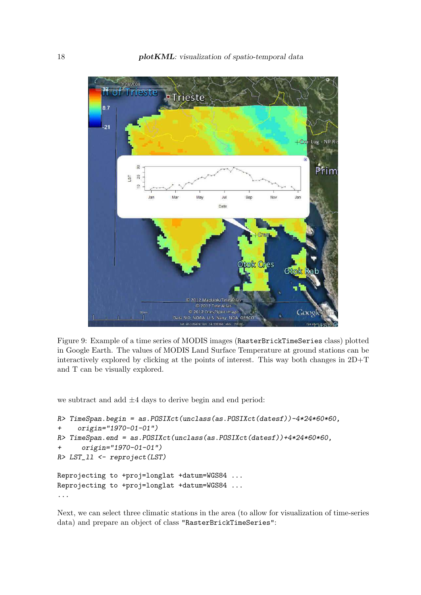<span id="page-17-0"></span>

Figure 9: Example of a time series of MODIS images (RasterBrickTimeSeries class) plotted in Google Earth. The values of MODIS Land Surface Temperature at ground stations can be interactively explored by clicking at the points of interest. This way both changes in 2D+T and T can be visually explored.

we subtract and add  $\pm 4$  days to derive begin and end period:

```
R> TimeSpan.begin = as.POSIXct(unclass(as.POSIXct(datesf))-4*24*60*60,
+ origin="1970-01-01")
R> TimeSpan.end = as.POSIXct(unclass(as.POSIXct(datesf))+4*24*60*60,
      + origin="1970-01-01")
R> LST_ll <- reproject(LST)
Reprojecting to +proj=longlat +datum=WGS84 ...
Reprojecting to +proj=longlat +datum=WGS84 ...
...
```
Next, we can select three climatic stations in the area (to allow for visualization of time-series data) and prepare an object of class "RasterBrickTimeSeries":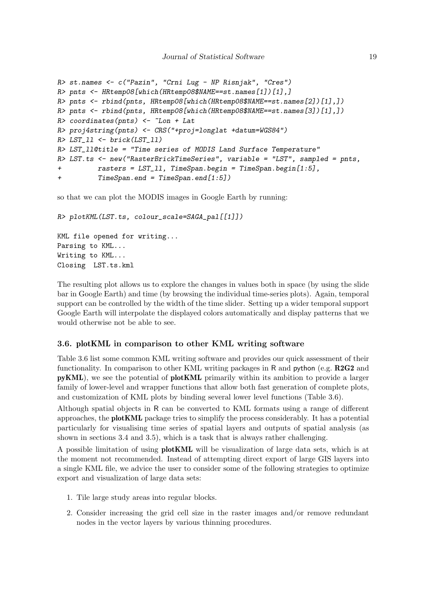```
R> st.names <- c("Pazin", "Crni Lug - NP Risnjak", "Cres")
R> pnts <- HRtemp08[which(HRtemp08$NAME==st.names[1])[1],]
R> pnts <- rbind(pnts, HRtemp08[which(HRtemp08$NAME==st.names[2])[1],])
R> pnts <- rbind(pnts, HRtemp08[which(HRtemp08$NAME==st.names[3])[1],])
R> coordinates(pnts) <- ~Lon + Lat
R> proj4string(pnts) <- CRS("+proj=longlat +datum=WGS84")
R> LST_ll <- brick(LST_ll)
R> LST_ll@title = "Time series of MODIS Land Surface Temperature"
R> LST.ts <- new("RasterBrickTimeSeries", variable = "LST", sampled = pnts,
+ rasters = LST_ll, TimeSpan.begin = TimeSpan.begin[1:5],
+ TimeSpan.end = TimeSpan.end[1:5])
```
so that we can plot the MODIS images in Google Earth by running:

```
R> plotKML(LST.ts, colour_scale=SAGA_pal[[1]])
KML file opened for writing...
Parsing to KML...
Writing to KML...
Closing LST.ts.kml
```
The resulting plot allows us to explore the changes in values both in space (by using the slide bar in Google Earth) and time (by browsing the individual time-series plots). Again, temporal support can be controlled by the width of the time slider. Setting up a wider temporal support Google Earth will interpolate the displayed colors automatically and display patterns that we would otherwise not be able to see.

#### 3.6. plotKML in comparison to other KML writing software

Table 3.6 list some common KML writing software and provides our quick assessment of their functionality. In comparison to other KML writing packages in R and python (e.g.  $R2G2$  and pyKML), we see the potential of plotKML primarily within its ambition to provide a larger family of lower-level and wrapper functions that allow both fast generation of complete plots, and customization of KML plots by binding several lower level functions (Table 3.6).

Although spatial objects in R can be converted to KML formats using a range of different approaches, the **plotKML** package tries to simplify the process considerably. It has a potential particularly for visualising time series of spatial layers and outputs of spatial analysis (as shown in sections [3.4](#page-13-0) and [3.5\)](#page-16-0), which is a task that is always rather challenging.

A possible limitation of using plotKML will be visualization of large data sets, which is at the moment not recommended. Instead of attempting direct export of large GIS layers into a single KML file, we advice the user to consider some of the following strategies to optimize export and visualization of large data sets:

- 1. Tile large study areas into regular blocks.
- 2. Consider increasing the grid cell size in the raster images and/or remove redundant nodes in the vector layers by various thinning procedures.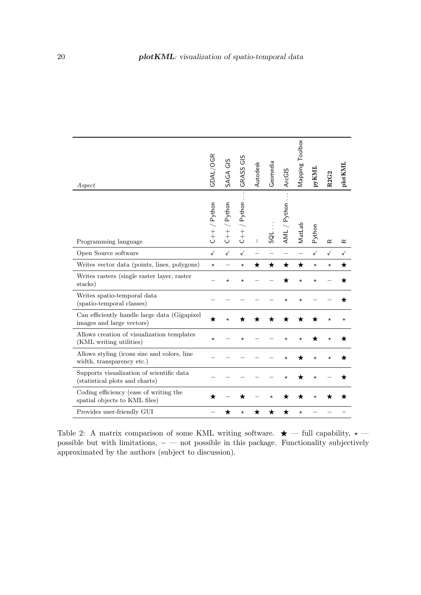| Aspect                                                                      | GDAL/OGR      | SAGA GIS                                        | GRASS GIS                                         | Autodesk | Geomedia | ArcGIS         | Mapping Toolbox | <b>DYKNL</b> | R2G2      | plotKML   |
|-----------------------------------------------------------------------------|---------------|-------------------------------------------------|---------------------------------------------------|----------|----------|----------------|-----------------|--------------|-----------|-----------|
| Programming language                                                        | $C++/$ Python | Python<br>$\begin{array}{c} + \\ + \end{array}$ | / Python<br>$\begin{array}{c} + \\ + \end{array}$ |          | ಡ        | Python<br>AML, | MatLab          | Python       | $\propto$ | $\propto$ |
| Open Source software                                                        | $\checkmark$  | $\checkmark$                                    | $\checkmark$                                      |          |          |                |                 | $\checkmark$ | ✓         | ✓         |
| Writes vector data (points, lines, polygons)                                | $\star$       |                                                 | $^\star$                                          | ★        | ★        | ★              | ★               | $^{\star}$   | $^\star$  | ★         |
| Writes rasters (single raster layer, raster<br>stacks)                      |               | $^\star$                                        | $^\star$                                          |          |          |                | $^\star$        | $^\star$     |           |           |
| Writes spatio-temporal data<br>(spatio-temporal classes)                    |               |                                                 |                                                   |          |          | $^\star$       | $^\star$        |              |           |           |
| Can efficiently handle large data (Gigapixel<br>images and large vectors)   | ★             |                                                 |                                                   |          |          |                |                 |              |           | $^\star$  |
| Allows creation of visualization templates<br>(KML writing utilities)       | $^\star$      |                                                 |                                                   |          |          |                |                 |              |           |           |
| Allows styling (icons size and colors, line<br>width, transparency etc.)    |               |                                                 |                                                   |          |          |                |                 |              |           |           |
| Supports visualization of scientific data<br>(statistical plots and charts) |               |                                                 |                                                   |          |          |                |                 | $^\star$     |           |           |
| Coding efficiency (ease of writing the<br>spatial objects to KML files)     |               |                                                 |                                                   |          |          |                |                 |              |           |           |
| Provides user-friendly GUI                                                  |               |                                                 | $^\star$                                          |          |          |                |                 |              |           |           |

Table 2: A matrix comparison of some KML writing software.  $\star$  — full capability,  $\star$  possible but with limitations,  $−$  — not possible in this package. Functionality subjectively approximated by the authors (subject to discussion).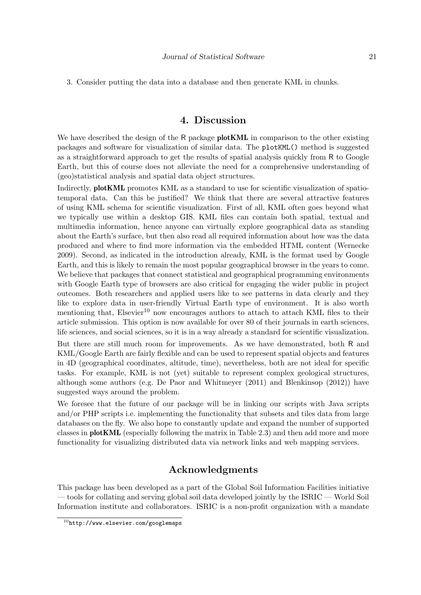3. Consider putting the data into a database and then generate KML in chunks.

# 4. Discussion

We have described the design of the R package **plotKML** in comparison to the other existing packages and software for visualization of similar data. The plotKML() method is suggested as a straightforward approach to get the results of spatial analysis quickly from R to Google Earth, but this of course does not alleviate the need for a comprehensive understanding of (geo)statistical analysis and spatial data object structures.

Indirectly, plotKML promotes KML as a standard to use for scientific visualization of spatiotemporal data. Can this be justified? We think that there are several attractive features of using KML schema for scientific visualization. First of all, KML often goes beyond what we typically use within a desktop GIS. KML files can contain both spatial, textual and multimedia information, hence anyone can virtually explore geographical data as standing about the Earth's surface, but then also read all required information about how was the data produced and where to find more information via the embedded HTML content [\(Wernecke](#page-23-0) [2009\)](#page-23-0). Second, as indicated in the introduction already, KML is the format used by Google Earth, and this is likely to remain the most popular geographical browser in the years to come. We believe that packages that connect statistical and geographical programming environments with Google Earth type of browsers are also critical for engaging the wider public in project outcomes. Both researchers and applied users like to see patterns in data clearly and they like to explore data in user-friendly Virtual Earth type of environment. It is also worth mentioning that, Elsevier<sup>10</sup> now encourages authors to attach to attach KML files to their article submission. This option is now available for over 80 of their journals in earth sciences, life sciences, and social sciences, so it is in a way already a standard for scientific visualization.

But there are still much room for improvements. As we have demonstrated, both R and KML/Google Earth are fairly flexible and can be used to represent spatial objects and features in 4D (geographical coordinates, altitude, time), nevertheless, both are not ideal for specific tasks. For example, KML is not (yet) suitable to represent complex geological structures, although some authors (e.g. De Paor and Whitmeyer  $(2011)$  and Blenkinsop  $(2012)$ ) have suggested ways around the problem.

We foresee that the future of our package will be in linking our scripts with Java scripts and/or PHP scripts i.e. implementing the functionality that subsets and tiles data from large databases on the fly. We also hope to constantly update and expand the number of supported classes in plotKML (especially following the matrix in Table [2.3\)](#page-3-0) and then add more and more functionality for visualizing distributed data via network links and web mapping services.

# Acknowledgments

This package has been developed as a part of the Global Soil Information Facilities initiative — tools for collating and serving global soil data developed jointly by the ISRIC — World Soil Information institute and collaborators. ISRIC is a non-profit organization with a mandate

 $10$ <http://www.elsevier.com/googlemaps>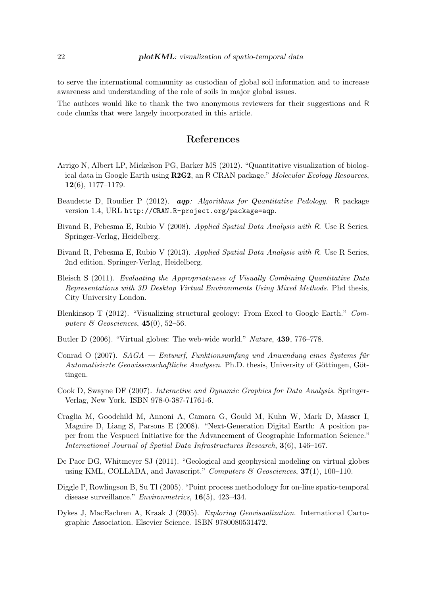<span id="page-21-0"></span>to serve the international community as custodian of global soil information and to increase awareness and understanding of the role of soils in major global issues.

The authors would like to thank the two anonymous reviewers for their suggestions and R code chunks that were largely incorporated in this article.

# References

- Arrigo N, Albert LP, Mickelson PG, Barker MS (2012). "Quantitative visualization of biological data in Google Earth using R2G2, an R CRAN package." *Molecular Ecology Resources*,  $12(6), 1177-1179.$
- Beaudette D, Roudier P (2012). aqp*: Algorithms for Quantitative Pedology*. R package version 1.4, URL <http://CRAN.R-project.org/package=aqp>.
- Bivand R, Pebesma E, Rubio V (2008). *Applied Spatial Data Analysis with* R. Use R Series. Springer-Verlag, Heidelberg.
- Bivand R, Pebesma E, Rubio V (2013). *Applied Spatial Data Analysis with* R. Use R Series, 2nd edition. Springer-Verlag, Heidelberg.
- Bleisch S (2011). *Evaluating the Appropriateness of Visually Combining Quantitative Data Representations with 3D Desktop Virtual Environments Using Mixed Methods*. Phd thesis, City University London.
- Blenkinsop T (2012). "Visualizing structural geology: From Excel to Google Earth." *Computers & Geosciences*, 45(0), 52–56.
- Butler D (2006). "Virtual globes: The web-wide world." *Nature*, 439, 776–778.
- Conrad O (2007). *SAGA Entwurf, Funktionsumfang und Anwendung eines Systems für Automatisierte Geowissenschaftliche Analysen.* Ph.D. thesis, University of Göttingen, Göttingen.
- Cook D, Swayne DF (2007). *Interactive and Dynamic Graphics for Data Analysis*. Springer-Verlag, New York. ISBN 978-0-387-71761-6.
- Craglia M, Goodchild M, Annoni A, Camara G, Gould M, Kuhn W, Mark D, Masser I, Maguire D, Liang S, Parsons E (2008). "Next-Generation Digital Earth: A position paper from the Vespucci Initiative for the Advancement of Geographic Information Science." *International Journal of Spatial Data Infrastructures Research*, 3(6), 146–167.
- De Paor DG, Whitmeyer SJ (2011). "Geological and geophysical modeling on virtual globes using KML, COLLADA, and Javascript." *Computers & Geosciences*, 37(1), 100–110.
- Diggle P, Rowlingson B, Su Tl (2005). "Point process methodology for on-line spatio-temporal disease surveillance." *Environmetrics*, 16(5), 423–434.
- Dykes J, MacEachren A, Kraak J (2005). *Exploring Geovisualization*. International Cartographic Association. Elsevier Science. ISBN 9780080531472.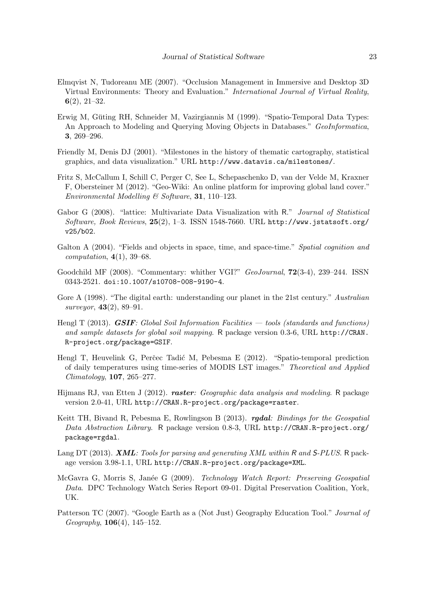- <span id="page-22-0"></span>Elmqvist N, Tudoreanu ME (2007). "Occlusion Management in Immersive and Desktop 3D Virtual Environments: Theory and Evaluation." *International Journal of Virtual Reality*, 6(2), 21–32.
- Erwig M, Güting RH, Schneider M, Vazirgiannis M (1999). "Spatio-Temporal Data Types: An Approach to Modeling and Querying Moving Objects in Databases." *GeoInformatica*, 3, 269–296.
- Friendly M, Denis DJ (2001). "Milestones in the history of thematic cartography, statistical graphics, and data visualization." URL <http://www.datavis.ca/milestones/>.
- Fritz S, McCallum I, Schill C, Perger C, See L, Schepaschenko D, van der Velde M, Kraxner F, Obersteiner M (2012). "Geo-Wiki: An online platform for improving global land cover." *Environmental Modelling & Software*, 31, 110–123.
- Gabor G (2008). "lattice: Multivariate Data Visualization with R." *Journal of Statistical Software, Book Reviews*, 25(2), 1–3. ISSN 1548-7660. URL [http://www.jstatsoft.org/](http://www.jstatsoft.org/v25/b02) [v25/b02](http://www.jstatsoft.org/v25/b02).
- Galton A (2004). "Fields and objects in space, time, and space-time." *Spatial cognition and computation*, 4(1), 39–68.
- Goodchild MF (2008). "Commentary: whither VGI?" *GeoJournal*, 72(3-4), 239–244. ISSN 0343-2521. [doi:10.1007/s10708-008-9190-4](http://dx.doi.org/10.1007/s10708-008-9190-4).
- Gore A (1998). "The digital earth: understanding our planet in the 21st century." *Australian surveyor*, 43(2), 89–91.
- Hengl T (2013). GSIF*: Global Soil Information Facilities tools (standards and functions) and sample datasets for global soil mapping*. R package version 0.3-6, URL [http://CRAN.](http://CRAN.R-project.org/package=GSIF) [R-project.org/package=GSIF](http://CRAN.R-project.org/package=GSIF).
- Hengl T, Heuvelink G, Perčec Tadić M, Pebesma E (2012). "Spatio-temporal prediction of daily temperatures using time-series of MODIS LST images." *Theoretical and Applied Climatology*, 107, 265–277.
- Hijmans RJ, van Etten J (2012). raster*: Geographic data analysis and modeling*. R package version 2.0-41, URL <http://CRAN.R-project.org/package=raster>.
- Keitt TH, Bivand R, Pebesma E, Rowlingson B (2013). rgdal*: Bindings for the Geospatial Data Abstraction Library*. R package version 0.8-3, URL [http://CRAN.R-project.org/](http://CRAN.R-project.org/package=rgdal) [package=rgdal](http://CRAN.R-project.org/package=rgdal).
- Lang DT (2013). XML*: Tools for parsing and generating XML within* R *and* S*-PLUS*. R package version 3.98-1.1, URL <http://CRAN.R-project.org/package=XML>.
- McGavra G, Morris S, Jan´ee G (2009). *Technology Watch Report: Preserving Geospatial Data*. DPC Technology Watch Series Report 09-01. Digital Preservation Coalition, York, UK.
- Patterson TC (2007). "Google Earth as a (Not Just) Geography Education Tool." *Journal of Geography*, 106(4), 145–152.